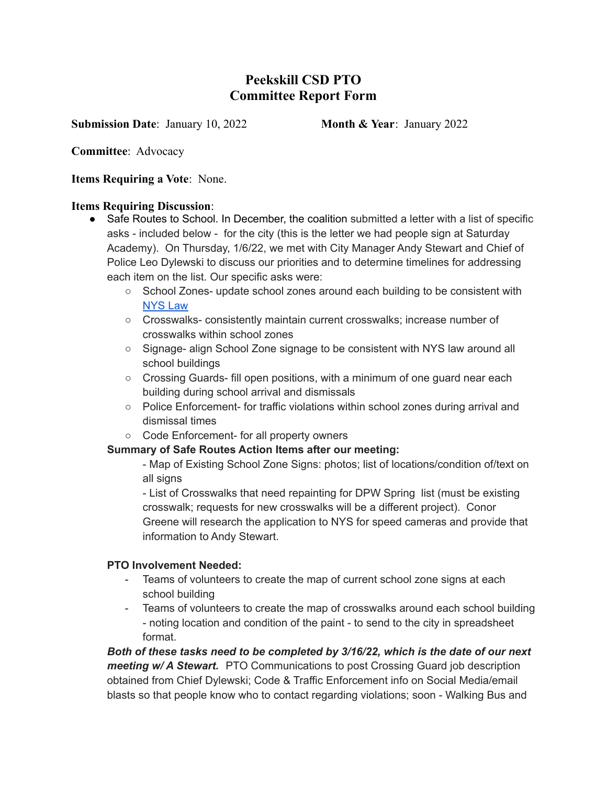# **Peekskill CSD PTO Committee Report Form**

**Submission Date: January 10, 2022 Month & Year: January 2022** 

**Committee**: Advocacy

**Items Requiring a Vote**: None.

### **Items Requiring Discussion**:

- Safe Routes to School. In December, the coalition submitted a letter with a list of specific asks - included below - for the city (this is the letter we had people sign at Saturday Academy). On Thursday, 1/6/22, we met with City Manager Andy Stewart and Chief of Police Leo Dylewski to discuss our priorities and to determine timelines for addressing each item on the list. Our specific asks were:
	- School Zones- update school zones around each building to be consistent with [NYS](https://www.dot.ny.gov/about-nysdot/faq/posing-speed-limit-within-a-school-zone) Law
	- Crosswalks- consistently maintain current crosswalks; increase number of crosswalks within school zones
	- Signage- align School Zone signage to be consistent with NYS law around all school buildings
	- $\circ$  Crossing Guards- fill open positions, with a minimum of one guard near each building during school arrival and dismissals
	- Police Enforcement- for traffic violations within school zones during arrival and dismissal times
	- Code Enforcement- for all property owners

## **Summary of Safe Routes Action Items after our meeting:**

- Map of Existing School Zone Signs: photos; list of locations/condition of/text on all signs

- List of Crosswalks that need repainting for DPW Spring list (must be existing crosswalk; requests for new crosswalks will be a different project). Conor Greene will research the application to NYS for speed cameras and provide that information to Andy Stewart.

## **PTO Involvement Needed:**

- Teams of volunteers to create the map of current school zone signs at each school building
- Teams of volunteers to create the map of crosswalks around each school building - noting location and condition of the paint - to send to the city in spreadsheet format.

*Both of these tasks need to be completed by 3/16/22, which is the date of our next meeting w/ A Stewart.* PTO Communications to post Crossing Guard job description obtained from Chief Dylewski; Code & Traffic Enforcement info on Social Media/email blasts so that people know who to contact regarding violations; soon - Walking Bus and